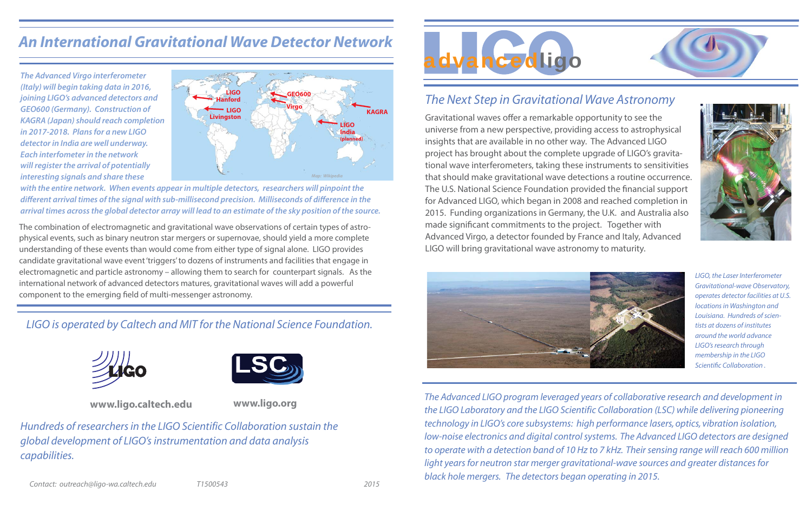

### *The Next Step in Gravitational Wave Astronomy*

Gravitational waves offer a remarkable opportunity to see the universe from a new perspective, providing access to astrophysical insights that are available in no other way. The Advanced LIGO project has brought about the complete upgrade of LIGO's gravitational wave interferometers, taking these instruments to sensitivities that should make gravitational wave detections a routine occurrence. The U.S. National Science Foundation provided the financial support for Advanced LIGO, which began in 2008 and reached completion in 2015. Funding organizations in Germany, the U.K. and Australia also made significant commitments to the project. Together with Advanced Virgo, a detector founded by France and Italy, Advanced LIGO will bring gravitational wave astronomy to maturity.



LIGO, the Laser Interferometer Gravitational-wave Observatory, operates detector facilities at U.S. locations in Washington and Louisiana. Hundreds of scientists at dozens of institutesaround the world advance LIGO's research through membership in the LIGO Scientific Collaboration .

*The Advanced LIGO program leveraged years of collaborative research and development in the LIGO Laboratory and the LIGO Scientific Collaboration (LSC) while delivering pioneering technology in LIGO's core subsystems: high performance lasers, optics, vibration isolation, low-noise electronics and digital control systems. The Advanced LIGO detectors are designed to operate with a detection band of 10 Hz to 7 kHz. Their sensing range will reach 600 million light years for neutron star merger gravitational-wave sources and greater distances for black hole mergers. The detectors began operating in 2015.* 





## *An International Gravitational Wave Detector Network*

#### *LIGO is operated by Caltech and MIT for the National Science Foundation.*



*Hundreds of researchers in the LIGO Scientific Collaboration sustain theglobal development of LIGO's instrumentation and data analysis capabilities.*







**The Advanced Virgo interferometer (Italy) will begin taking data in 2016, joining LIGO's advanced detectors and GEO600 (Germany). Construction of KAGRA (Japan) should reach completion in 2017-2018. Plans for a new LIGOdetector in India are well underway. Each interfometer in the networkwill register the arrival of potentially interesting signals and share these** 

**with the entire network. When events appear in multiple detectors, researchers will pinpoint the different arrival times of the signal with sub-millisecond precision. Milliseconds of difference in the arrival times across the global detector array will lead to an estimate of the sky position of the source.** 

The combination of electromagnetic and gravitational wave observations of certain types of astrophysical events, such as binary neutron star mergers or supernovae, should yield a more complete understanding of these events than would come from either type of signal alone. LIGO provides candidate gravitational wave event 'triggers' to dozens of instruments and facilities that engage in electromagnetic and particle astronomy – allowing them to search for counterpart signals. As the international network of advanced detectors matures, gravitational waves will add a powerful component to the emerging field of multi-messenger astronomy.